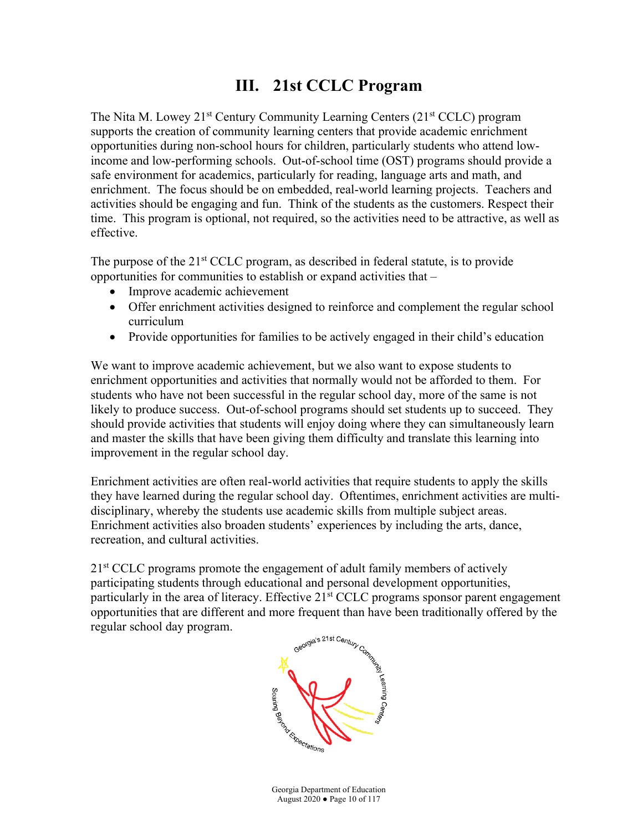# **III. 21st CCLC Program**

The Nita M. Lowey  $21^{st}$  Century Community Learning Centers  $(21^{st}$  CCLC) program supports the creation of community learning centers that provide academic enrichment opportunities during non-school hours for children, particularly students who attend lowincome and low-performing schools. Out-of-school time (OST) programs should provide a safe environment for academics, particularly for reading, language arts and math, and enrichment. The focus should be on embedded, real-world learning projects. Teachers and activities should be engaging and fun. Think of the students as the customers. Respect their time. This program is optional, not required, so the activities need to be attractive, as well as effective.

The purpose of the 21<sup>st</sup> CCLC program, as described in federal statute, is to provide opportunities for communities to establish or expand activities that –

- Improve academic achievement
- Offer enrichment activities designed to reinforce and complement the regular school curriculum
- Provide opportunities for families to be actively engaged in their child's education

We want to improve academic achievement, but we also want to expose students to enrichment opportunities and activities that normally would not be afforded to them. For students who have not been successful in the regular school day, more of the same is not likely to produce success. Out-of-school programs should set students up to succeed. They should provide activities that students will enjoy doing where they can simultaneously learn and master the skills that have been giving them difficulty and translate this learning into improvement in the regular school day.

Enrichment activities are often real-world activities that require students to apply the skills they have learned during the regular school day. Oftentimes, enrichment activities are multidisciplinary, whereby the students use academic skills from multiple subject areas. Enrichment activities also broaden students' experiences by including the arts, dance, recreation, and cultural activities.

2<sup>1st</sup> CCLC programs promote the engagement of adult family members of actively participating students through educational and personal development opportunities, particularly in the area of literacy. Effective  $21<sup>st</sup> CCLC$  programs sponsor parent engagement opportunities that are different and more frequent than have been traditionally offered by the regular school day program.

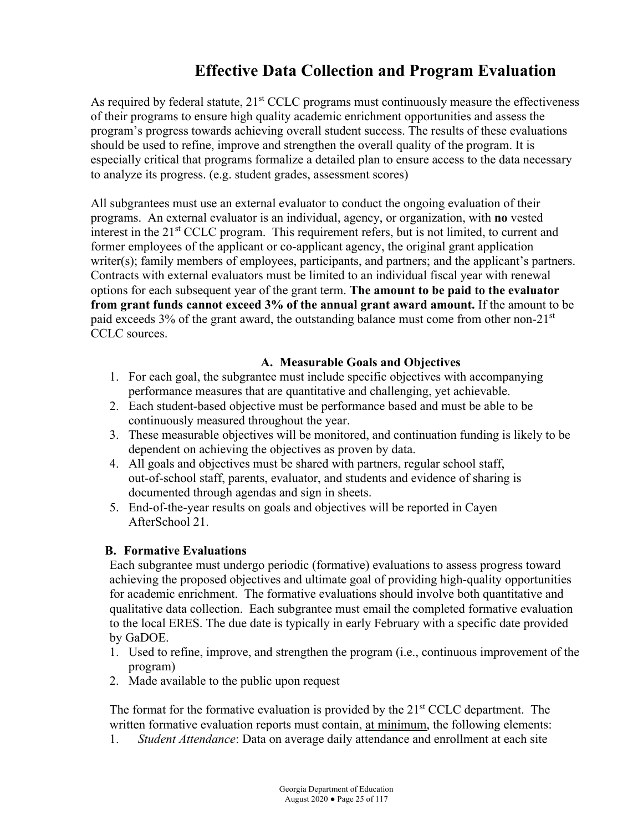# **Effective Data Collection and Program Evaluation**

As required by federal statute,  $21<sup>st</sup> CCLC$  programs must continuously measure the effectiveness of their programs to ensure high quality academic enrichment opportunities and assess the program's progress towards achieving overall student success. The results of these evaluations should be used to refine, improve and strengthen the overall quality of the program. It is especially critical that programs formalize a detailed plan to ensure access to the data necessary to analyze its progress. (e.g. student grades, assessment scores)

All subgrantees must use an external evaluator to conduct the ongoing evaluation of their programs. An external evaluator is an individual, agency, or organization, with **no** vested interest in the 21<sup>st</sup> CCLC program. This requirement refers, but is not limited, to current and former employees of the applicant or co-applicant agency, the original grant application writer(s); family members of employees, participants, and partners; and the applicant's partners. Contracts with external evaluators must be limited to an individual fiscal year with renewal options for each subsequent year of the grant term. **The amount to be paid to the evaluator from grant funds cannot exceed 3% of the annual grant award amount.** If the amount to be paid exceeds 3% of the grant award, the outstanding balance must come from other non-21st CCLC sources.

#### **A. Measurable Goals and Objectives**

- 1. For each goal, the subgrantee must include specific objectives with accompanying performance measures that are quantitative and challenging, yet achievable.
- 2. Each student-based objective must be performance based and must be able to be continuously measured throughout the year.
- 3. These measurable objectives will be monitored, and continuation funding is likely to be dependent on achieving the objectives as proven by data.
- 4. All goals and objectives must be shared with partners, regular school staff, out-of-school staff, parents, evaluator, and students and evidence of sharing is documented through agendas and sign in sheets.
- 5. End-of-the-year results on goals and objectives will be reported in Cayen AfterSchool 21.

#### **B. Formative Evaluations**

Each subgrantee must undergo periodic (formative) evaluations to assess progress toward achieving the proposed objectives and ultimate goal of providing high-quality opportunities for academic enrichment. The formative evaluations should involve both quantitative and qualitative data collection. Each subgrantee must email the completed formative evaluation to the local ERES. The due date is typically in early February with a specific date provided by GaDOE.

- 1. Used to refine, improve, and strengthen the program (i.e., continuous improvement of the program)
- 2. Made available to the public upon request

The format for the formative evaluation is provided by the  $21<sup>st</sup> CCLC$  department. The written formative evaluation reports must contain, at minimum, the following elements:

1. *Student Attendance*: Data on average daily attendance and enrollment at each site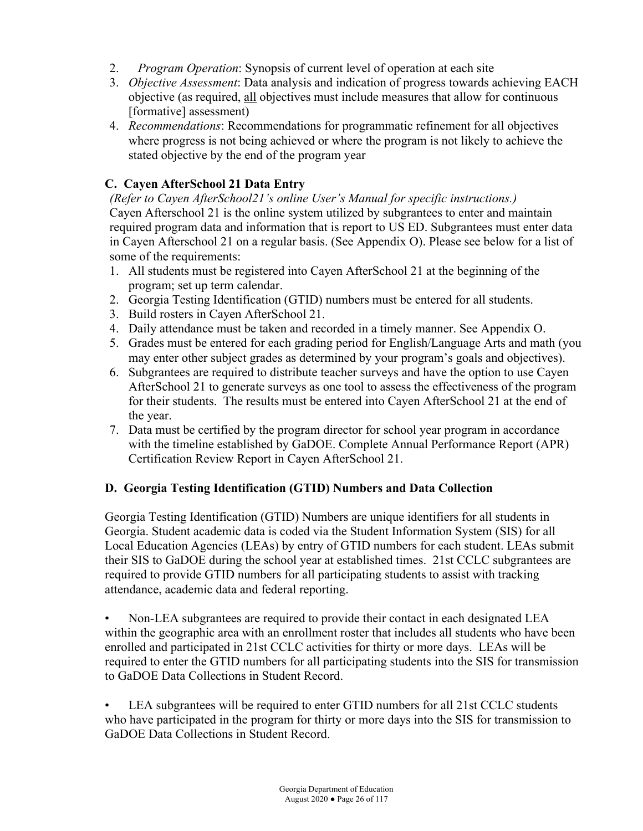- 2. *Program Operation*: Synopsis of current level of operation at each site
- 3. *Objective Assessment*: Data analysis and indication of progress towards achieving EACH objective (as required, all objectives must include measures that allow for continuous [formative] assessment)
- 4. *Recommendations*: Recommendations for programmatic refinement for all objectives where progress is not being achieved or where the program is not likely to achieve the stated objective by the end of the program year

# **C. Cayen AfterSchool 21 Data Entry**

*(Refer to Cayen AfterSchool21's online User's Manual for specific instructions.)* Cayen Afterschool 21 is the online system utilized by subgrantees to enter and maintain required program data and information that is report to US ED. Subgrantees must enter data in Cayen Afterschool 21 on a regular basis. (See Appendix O). Please see below for a list of some of the requirements:

- 1. All students must be registered into Cayen AfterSchool 21 at the beginning of the program; set up term calendar.
- 2. Georgia Testing Identification (GTID) numbers must be entered for all students.
- 3. Build rosters in Cayen AfterSchool 21.
- 4. Daily attendance must be taken and recorded in a timely manner. See Appendix O.
- 5. Grades must be entered for each grading period for English/Language Arts and math (you may enter other subject grades as determined by your program's goals and objectives).
- 6. Subgrantees are required to distribute teacher surveys and have the option to use Cayen AfterSchool 21 to generate surveys as one tool to assess the effectiveness of the program for their students. The results must be entered into Cayen AfterSchool 21 at the end of the year.
- 7. Data must be certified by the program director for school year program in accordance with the timeline established by GaDOE. Complete Annual Performance Report (APR) Certification Review Report in Cayen AfterSchool 21.

## **D. Georgia Testing Identification (GTID) Numbers and Data Collection**

Georgia Testing Identification (GTID) Numbers are unique identifiers for all students in Georgia. Student academic data is coded via the Student Information System (SIS) for all Local Education Agencies (LEAs) by entry of GTID numbers for each student. LEAs submit their SIS to GaDOE during the school year at established times. 21st CCLC subgrantees are required to provide GTID numbers for all participating students to assist with tracking attendance, academic data and federal reporting.

• Non-LEA subgrantees are required to provide their contact in each designated LEA within the geographic area with an enrollment roster that includes all students who have been enrolled and participated in 21st CCLC activities for thirty or more days. LEAs will be required to enter the GTID numbers for all participating students into the SIS for transmission to GaDOE Data Collections in Student Record.

LEA subgrantees will be required to enter GTID numbers for all 21st CCLC students who have participated in the program for thirty or more days into the SIS for transmission to GaDOE Data Collections in Student Record.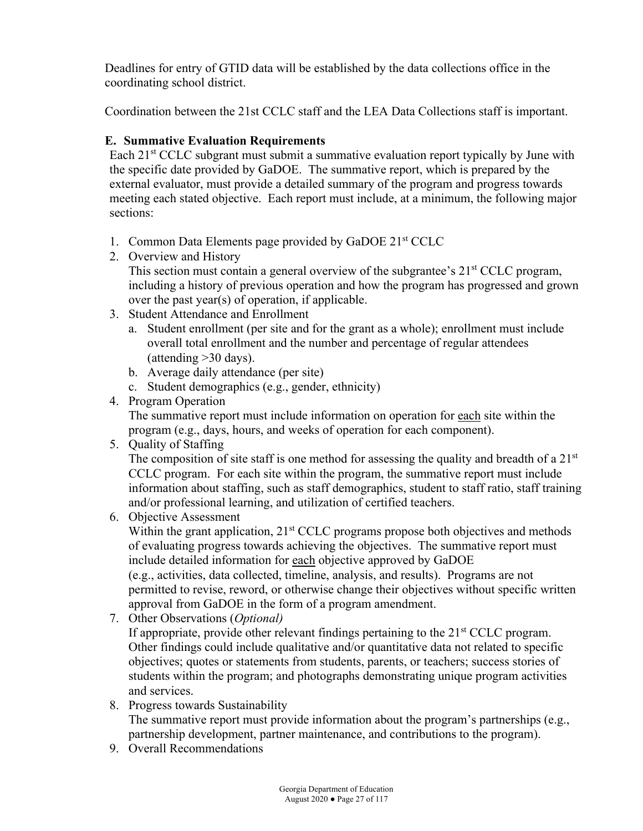Deadlines for entry of GTID data will be established by the data collections office in the coordinating school district.

Coordination between the 21st CCLC staff and the LEA Data Collections staff is important.

### **E. Summative Evaluation Requirements**

Each  $21<sup>st</sup> CCLC$  subgrant must submit a summative evaluation report typically by June with the specific date provided by GaDOE. The summative report, which is prepared by the external evaluator, must provide a detailed summary of the program and progress towards meeting each stated objective. Each report must include, at a minimum, the following major sections:

- 1. Common Data Elements page provided by GaDOE 21st CCLC
- 2. Overview and History This section must contain a general overview of the subgrantee's  $21<sup>st</sup>$  CCLC program, including a history of previous operation and how the program has progressed and grown over the past year(s) of operation, if applicable.
- 3. Student Attendance and Enrollment
	- a. Student enrollment (per site and for the grant as a whole); enrollment must include overall total enrollment and the number and percentage of regular attendees (attending >30 days).
	- b. Average daily attendance (per site)
	- c. Student demographics (e.g., gender, ethnicity)
- 4. Program Operation The summative report must include information on operation for each site within the program (e.g., days, hours, and weeks of operation for each component).
- 5. Quality of Staffing

The composition of site staff is one method for assessing the quality and breadth of a  $21<sup>st</sup>$ CCLC program. For each site within the program, the summative report must include information about staffing, such as staff demographics, student to staff ratio, staff training and/or professional learning, and utilization of certified teachers.

- 6. Objective Assessment Within the grant application,  $21<sup>st</sup> CCLC$  programs propose both objectives and methods of evaluating progress towards achieving the objectives. The summative report must include detailed information for each objective approved by GaDOE (e.g., activities, data collected, timeline, analysis, and results). Programs are not permitted to revise, reword, or otherwise change their objectives without specific written approval from GaDOE in the form of a program amendment.
- 7. Other Observations (*Optional)*

If appropriate, provide other relevant findings pertaining to the  $21<sup>st</sup> CCLC$  program. Other findings could include qualitative and/or quantitative data not related to specific objectives; quotes or statements from students, parents, or teachers; success stories of students within the program; and photographs demonstrating unique program activities and services.

- 8. Progress towards Sustainability The summative report must provide information about the program's partnerships (e.g., partnership development, partner maintenance, and contributions to the program).
- 9. Overall Recommendations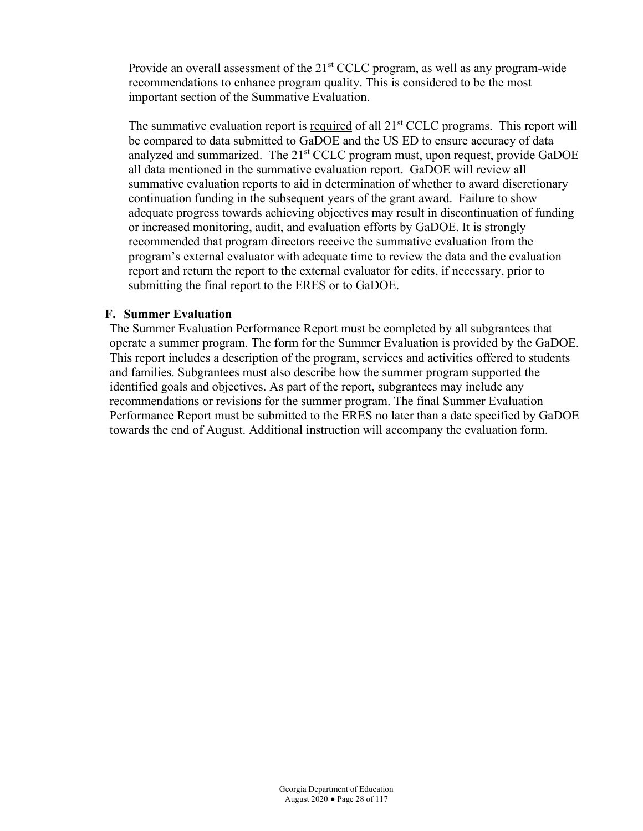Provide an overall assessment of the  $21<sup>st</sup> CCLC$  program, as well as any program-wide recommendations to enhance program quality. This is considered to be the most important section of the Summative Evaluation.

The summative evaluation report is required of all  $21<sup>st</sup> CCLC$  programs. This report will be compared to data submitted to GaDOE and the US ED to ensure accuracy of data analyzed and summarized. The 21<sup>st</sup> CCLC program must, upon request, provide GaDOE all data mentioned in the summative evaluation report. GaDOE will review all summative evaluation reports to aid in determination of whether to award discretionary continuation funding in the subsequent years of the grant award. Failure to show adequate progress towards achieving objectives may result in discontinuation of funding or increased monitoring, audit, and evaluation efforts by GaDOE. It is strongly recommended that program directors receive the summative evaluation from the program's external evaluator with adequate time to review the data and the evaluation report and return the report to the external evaluator for edits, if necessary, prior to submitting the final report to the ERES or to GaDOE.

#### **F. Summer Evaluation**

The Summer Evaluation Performance Report must be completed by all subgrantees that operate a summer program. The form for the Summer Evaluation is provided by the GaDOE. This report includes a description of the program, services and activities offered to students and families. Subgrantees must also describe how the summer program supported the identified goals and objectives. As part of the report, subgrantees may include any recommendations or revisions for the summer program. The final Summer Evaluation Performance Report must be submitted to the ERES no later than a date specified by GaDOE towards the end of August. Additional instruction will accompany the evaluation form.